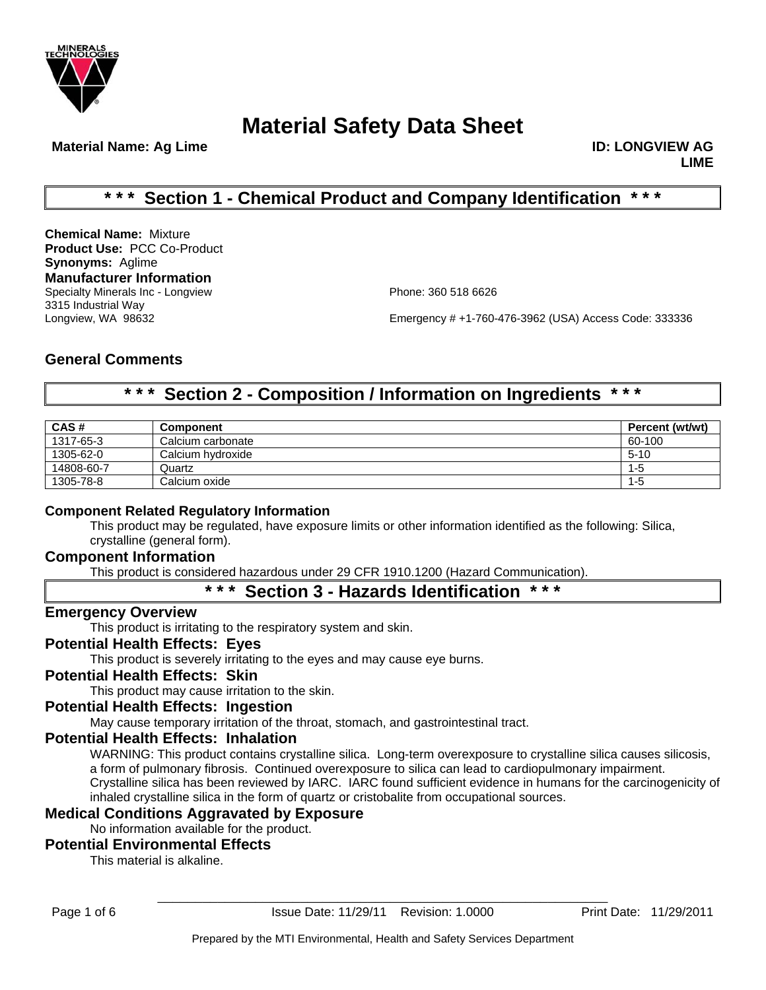

**Material Name: Ag Lime ID: LONGVIEW AG 2018 10: LONGVIEW AG 2019** 

**LIME**

# **\* \* \* Section 1 - Chemical Product and Company Identification \* \* \***

**Chemical Name:** Mixture **Product Use:** PCC Co-Product **Synonyms:** Aglime **Manufacturer Information** Specialty Minerals Inc - Longview **Phone: 360 518 6626** 3315 Industrial Way

Emergency # +1-760-476-3962 (USA) Access Code: 333336

# **General Comments**

# **\* \* \* Section 2 - Composition / Information on Ingredients \* \* \***

| CAS#       | <b>Component</b>  | Percent (wt/wt) |
|------------|-------------------|-----------------|
| 1317-65-3  | Calcium carbonate | 60-100          |
| 1305-62-0  | Calcium hydroxide | $5 - 10$        |
| 14808-60-7 | Quartz            | $1 - 5$         |
| 1305-78-8  | Calcium oxide     | $1 - 5$         |

### **Component Related Regulatory Information**

This product may be regulated, have exposure limits or other information identified as the following: Silica, crystalline (general form).

## **Component Information**

This product is considered hazardous under 29 CFR 1910.1200 (Hazard Communication).

# **\* \* \* Section 3 - Hazards Identification \* \* \***

### **Emergency Overview**

This product is irritating to the respiratory system and skin.

### **Potential Health Effects: Eyes**

This product is severely irritating to the eyes and may cause eye burns.

### **Potential Health Effects: Skin**

This product may cause irritation to the skin.

# **Potential Health Effects: Ingestion**

May cause temporary irritation of the throat, stomach, and gastrointestinal tract.

## **Potential Health Effects: Inhalation**

WARNING: This product contains crystalline silica. Long-term overexposure to crystalline silica causes silicosis, a form of pulmonary fibrosis. Continued overexposure to silica can lead to cardiopulmonary impairment. Crystalline silica has been reviewed by IARC. IARC found sufficient evidence in humans for the carcinogenicity of inhaled crystalline silica in the form of quartz or cristobalite from occupational sources.

### **Medical Conditions Aggravated by Exposure**

No information available for the product.

### **Potential Environmental Effects**

This material is alkaline.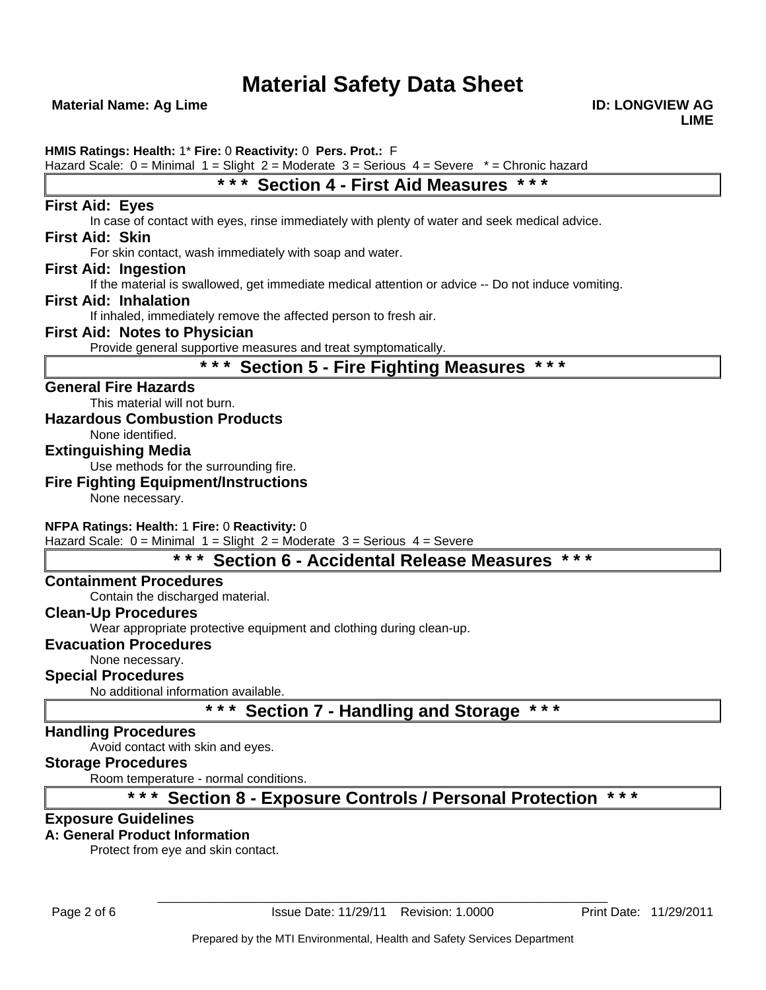**Material Name: Ag Lime ID: LONGVIEW AG 2018 10: LONGVIEW AG 2018 10: LONGVIEW AG** 

**HMIS Ratings: Health:** 1\* **Fire:** 0 **Reactivity:** 0 **Pers. Prot.:** F

Hazard Scale:  $0 =$  Minimal  $1 =$  Slight  $2 =$  Moderate  $3 =$  Serious  $4 =$  Severe  $* =$  Chronic hazard

# **\* \* \* Section 4 - First Aid Measures \* \* \***

# **First Aid: Eyes**

In case of contact with eyes, rinse immediately with plenty of water and seek medical advice.

### **First Aid: Skin**

For skin contact, wash immediately with soap and water.

### **First Aid: Ingestion**

If the material is swallowed, get immediate medical attention or advice -- Do not induce vomiting.

### **First Aid: Inhalation**

If inhaled, immediately remove the affected person to fresh air.

### **First Aid: Notes to Physician**

Provide general supportive measures and treat symptomatically.

# **\* \* \* Section 5 - Fire Fighting Measures \* \* \***

### **General Fire Hazards**

This material will not burn.

### **Hazardous Combustion Products**

None identified.

### **Extinguishing Media**

Use methods for the surrounding fire.

### **Fire Fighting Equipment/Instructions**

None necessary.

### **NFPA Ratings: Health:** 1 **Fire:** 0 **Reactivity:** 0

Hazard Scale:  $0 =$  Minimal  $1 =$  Slight  $2 =$  Moderate  $3 =$  Serious  $4 =$  Severe

# **\* \* \* Section 6 - Accidental Release Measures \* \* \***

### **Containment Procedures**

Contain the discharged material.

## **Clean-Up Procedures**

Wear appropriate protective equipment and clothing during clean-up.

### **Evacuation Procedures**

None necessary.

## **Special Procedures**

No additional information available.

# **\* \* \* Section 7 - Handling and Storage \* \* \***

### **Handling Procedures**

Avoid contact with skin and eyes.

## **Storage Procedures**

Room temperature - normal conditions.

# **\* \* \* Section 8 - Exposure Controls / Personal Protection \* \* \***

### **Exposure Guidelines**

# **A: General Product Information**

Protect from eye and skin contact.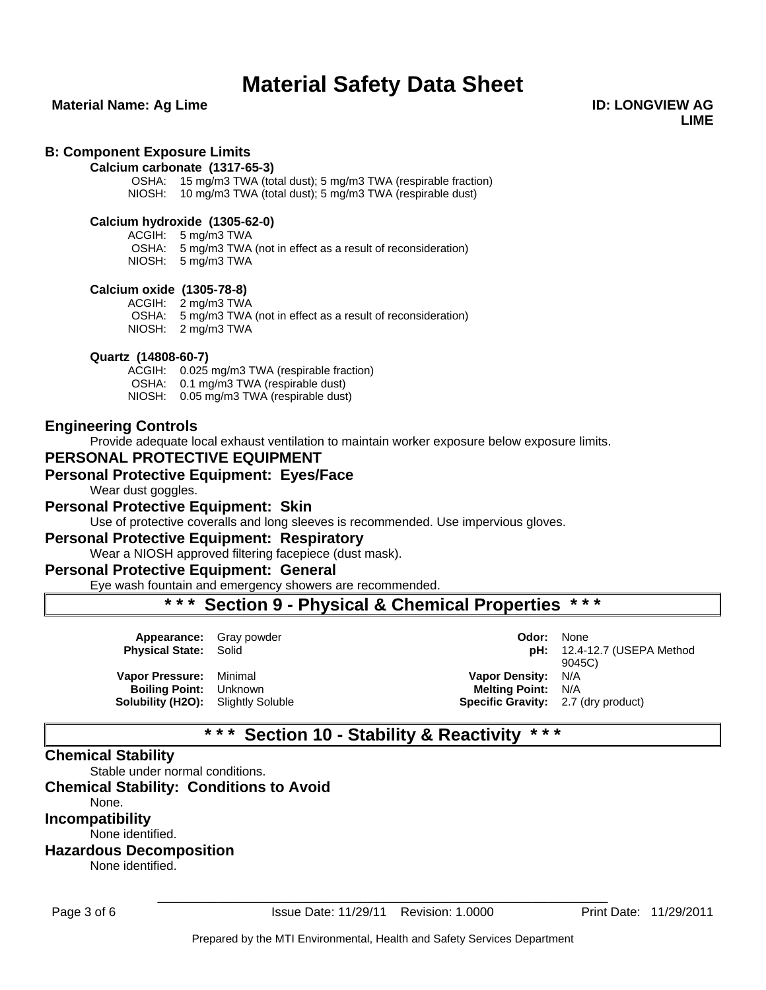### **Material Name: Ag Lime ID: LONGVIEW AG 2018 10: LONGVIEW AG 2018 10: LONGVIEW AG**

**LIME**

#### **B: Component Exposure Limits**

#### **Calcium carbonate (1317-65-3)**

OSHA: 15 mg/m3 TWA (total dust); 5 mg/m3 TWA (respirable fraction) NIOSH: 10 mg/m3 TWA (total dust); 5 mg/m3 TWA (respirable dust)

#### **Calcium hydroxide (1305-62-0)**

ACGIH: 5 mg/m3 TWA

OSHA: 5 mg/m3 TWA (not in effect as a result of reconsideration) NIOSH: 5 mg/m3 TWA

#### **Calcium oxide (1305-78-8)**

ACGIH: 2 mg/m3 TWA OSHA: 5 mg/m3 TWA (not in effect as a result of reconsideration) NIOSH: 2 mg/m3 TWA

#### **Quartz (14808-60-7)**

ACGIH: 0.025 mg/m3 TWA (respirable fraction) OSHA: 0.1 mg/m3 TWA (respirable dust) NIOSH: 0.05 mg/m3 TWA (respirable dust)

### **Engineering Controls**

Provide adequate local exhaust ventilation to maintain worker exposure below exposure limits.

### **PERSONAL PROTECTIVE EQUIPMENT**

### **Personal Protective Equipment: Eyes/Face**

Wear dust goggles.

#### **Personal Protective Equipment: Skin**

Use of protective coveralls and long sleeves is recommended. Use impervious gloves.

#### **Personal Protective Equipment: Respiratory**

Wear a NIOSH approved filtering facepiece (dust mask).

### **Personal Protective Equipment: General**

Eye wash fountain and emergency showers are recommended.

# **\* \* \* Section 9 - Physical & Chemical Properties \* \* \***

| <b>Appearance:</b> Gray powder<br><b>Physical State: Solid</b>                                        | Odor:                                                                                                | <b>None</b><br>$pH: 12.4-12.7$ (USEPA Method<br>9045C) |
|-------------------------------------------------------------------------------------------------------|------------------------------------------------------------------------------------------------------|--------------------------------------------------------|
| Vapor Pressure: Minimal<br><b>Boiling Point:</b> Unknown<br><b>Solubility (H2O):</b> Slightly Soluble | <b>Vapor Density: N/A</b><br><b>Melting Point: N/A</b><br><b>Specific Gravity:</b> 2.7 (dry product) |                                                        |

# **\* \* \* Section 10 - Stability & Reactivity \* \* \***

### **Chemical Stability**

Stable under normal conditions.

## **Chemical Stability: Conditions to Avoid**

None.

**Incompatibility**

None identified.

# **Hazardous Decomposition**

None identified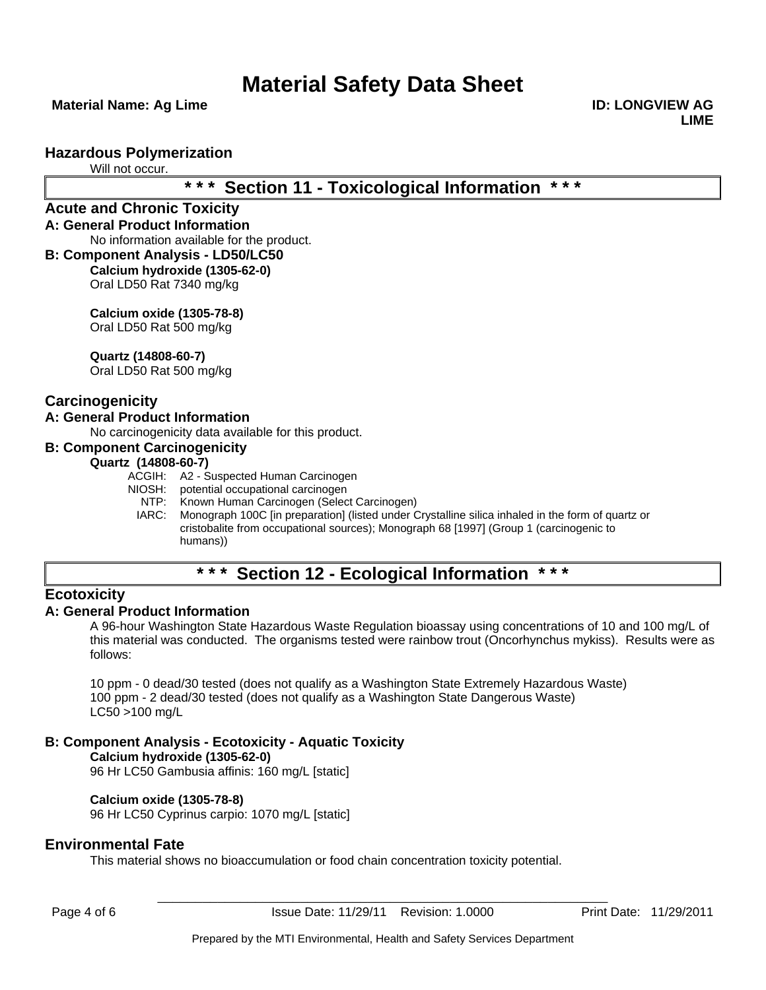**Material Name: Ag Lime ID: LONGVIEW AG 2018 10: LONGVIEW AG 2018 10: LONGVIEW AG** 

**LIME**

### **Hazardous Polymerization**

Will not occur.

# **\* \* \* Section 11 - Toxicological Information \* \* \***

#### **Acute and Chronic Toxicity A: General Product Information**

No information available for the product.

**B: Component Analysis - LD50/LC50 Calcium hydroxide (1305-62-0)** Oral LD50 Rat 7340 mg/kg

> **Calcium oxide (1305-78-8)** Oral LD50 Rat 500 mg/kg

**Quartz (14808-60-7)**

Oral LD50 Rat 500 mg/kg

## **Carcinogenicity**

### **A: General Product Information**

No carcinogenicity data available for this product.

#### **B: Component Carcinogenicity**

### **Quartz (14808-60-7)**

- ACGIH: A2 Suspected Human Carcinogen
- NIOSH: potential occupational carcinogen<br>NTP: Known Human Carcinogen (Selec
	- Known Human Carcinogen (Select Carcinogen)
	- IARC: Monograph 100C [in preparation] (listed under Crystalline silica inhaled in the form of quartz or cristobalite from occupational sources); Monograph 68 [1997] (Group 1 (carcinogenic to humans))

# **\* \* \* Section 12 - Ecological Information \* \* \***

## **Ecotoxicity**

### **A: General Product Information**

A 96-hour Washington State Hazardous Waste Regulation bioassay using concentrations of 10 and 100 mg/L of this material was conducted. The organisms tested were rainbow trout (Oncorhynchus mykiss). Results were as follows:

10 ppm - 0 dead/30 tested (does not qualify as a Washington State Extremely Hazardous Waste) 100 ppm - 2 dead/30 tested (does not qualify as a Washington State Dangerous Waste) LC50 >100 mg/L

### **B: Component Analysis - Ecotoxicity - Aquatic Toxicity**

**Calcium hydroxide (1305-62-0)** 96 Hr LC50 Gambusia affinis: 160 mg/L [static]

### **Calcium oxide (1305-78-8)**

96 Hr LC50 Cyprinus carpio: 1070 mg/L [static]

### **Environmental Fate**

This material shows no bioaccumulation or food chain concentration toxicity potential.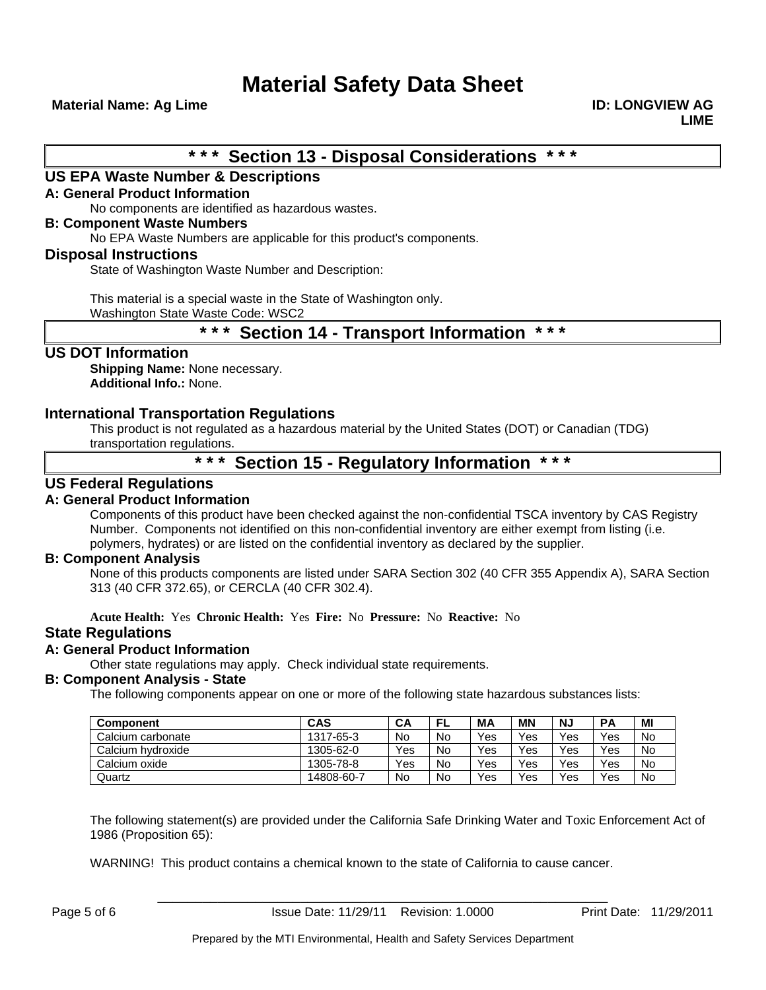**Material Name: Ag Lime ID: LONGVIEW AG 2018 10: LONGVIEW AG 2018 10: LONGVIEW AG** 

**\* \* \* Section 13 - Disposal Considerations \* \* \*** 

### **US EPA Waste Number & Descriptions**

### **A: General Product Information**

No components are identified as hazardous wastes.

#### **B: Component Waste Numbers**

No EPA Waste Numbers are applicable for this product's components.

### **Disposal Instructions**

State of Washington Waste Number and Description:

This material is a special waste in the State of Washington only.

Washington State Waste Code: WSC2

# **\* \* \* Section 14 - Transport Information \* \* \***

### **US DOT Information**

**Shipping Name:** None necessary. **Additional Info.:** None.

### **International Transportation Regulations**

This product is not regulated as a hazardous material by the United States (DOT) or Canadian (TDG) transportation regulations.

# **\* \* \* Section 15 - Regulatory Information \* \* \***

### **US Federal Regulations**

### **A: General Product Information**

Components of this product have been checked against the non-confidential TSCA inventory by CAS Registry Number. Components not identified on this non-confidential inventory are either exempt from listing (i.e. polymers, hydrates) or are listed on the confidential inventory as declared by the supplier.

### **B: Component Analysis**

None of this products components are listed under SARA Section 302 (40 CFR 355 Appendix A), SARA Section 313 (40 CFR 372.65), or CERCLA (40 CFR 302.4).

**Acute Health:** Yes **Chronic Health:** Yes **Fire:** No **Pressure:** No **Reactive:** No

### **State Regulations**

### **A: General Product Information**

Other state regulations may apply. Check individual state requirements.

### **B: Component Analysis - State**

The following components appear on one or more of the following state hazardous substances lists:

| <b>Component</b>  | <b>CAS</b> | CА  | FL | <b>MA</b> | ΜN  | <b>NJ</b> | <b>PA</b> | MI        |
|-------------------|------------|-----|----|-----------|-----|-----------|-----------|-----------|
| Calcium carbonate | 1317-65-3  | No  | No | Yes       | Yes | Yes       | Yes       | No        |
| Calcium hydroxide | 1305-62-0  | Yes | No | Yes       | Yes | Yes       | Yes       | <b>No</b> |
| Calcium oxide     | 1305-78-8  | Yes | No | Yes       | Yes | Yes       | Yes       | <b>No</b> |
| Quartz            | 14808-60-7 | No  | No | Yes       | Yes | Yes       | Yes       | No        |

The following statement(s) are provided under the California Safe Drinking Water and Toxic Enforcement Act of 1986 (Proposition 65):

WARNING! This product contains a chemical known to the state of California to cause cancer.